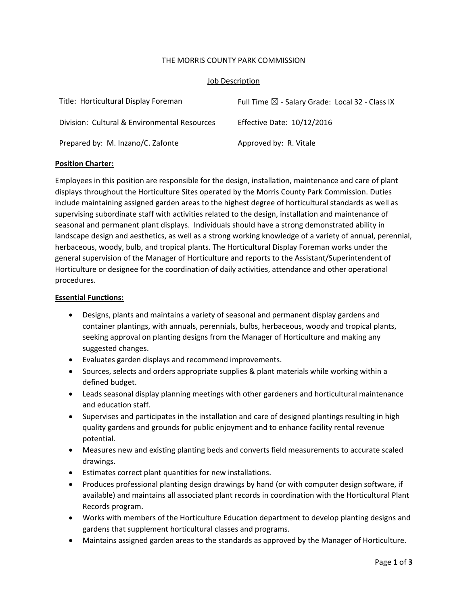### THE MORRIS COUNTY PARK COMMISSION

### Job Description

| Title: Horticultural Display Foreman         | Full Time $\boxtimes$ - Salary Grade: Local 32 - Class IX |
|----------------------------------------------|-----------------------------------------------------------|
| Division: Cultural & Environmental Resources | Effective Date: 10/12/2016                                |
| Prepared by: M. Inzano/C. Zafonte            | Approved by: R. Vitale                                    |

### **Position Charter:**

Employees in this position are responsible for the design, installation, maintenance and care of plant displays throughout the Horticulture Sites operated by the Morris County Park Commission. Duties include maintaining assigned garden areas to the highest degree of horticultural standards as well as supervising subordinate staff with activities related to the design, installation and maintenance of seasonal and permanent plant displays. Individuals should have a strong demonstrated ability in landscape design and aesthetics, as well as a strong working knowledge of a variety of annual, perennial, herbaceous, woody, bulb, and tropical plants. The Horticultural Display Foreman works under the general supervision of the Manager of Horticulture and reports to the Assistant/Superintendent of Horticulture or designee for the coordination of daily activities, attendance and other operational procedures.

## **Essential Functions:**

- Designs, plants and maintains a variety of seasonal and permanent display gardens and container plantings, with annuals, perennials, bulbs, herbaceous, woody and tropical plants, seeking approval on planting designs from the Manager of Horticulture and making any suggested changes.
- Evaluates garden displays and recommend improvements.
- Sources, selects and orders appropriate supplies & plant materials while working within a defined budget.
- Leads seasonal display planning meetings with other gardeners and horticultural maintenance and education staff.
- Supervises and participates in the installation and care of designed plantings resulting in high quality gardens and grounds for public enjoyment and to enhance facility rental revenue potential.
- Measures new and existing planting beds and converts field measurements to accurate scaled drawings.
- Estimates correct plant quantities for new installations.
- Produces professional planting design drawings by hand (or with computer design software, if available) and maintains all associated plant records in coordination with the Horticultural Plant Records program.
- Works with members of the Horticulture Education department to develop planting designs and gardens that supplement horticultural classes and programs.
- Maintains assigned garden areas to the standards as approved by the Manager of Horticulture.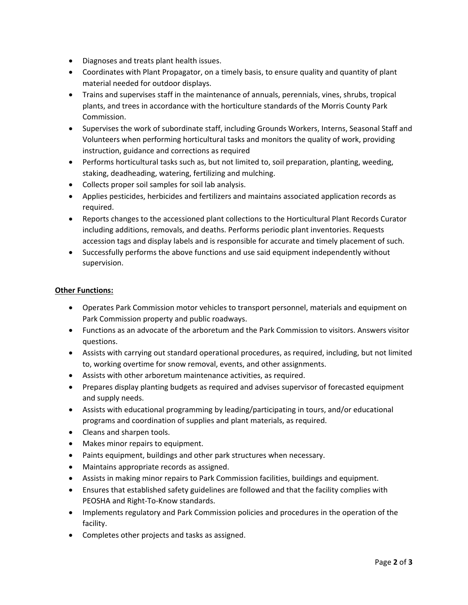- Diagnoses and treats plant health issues.
- Coordinates with Plant Propagator, on a timely basis, to ensure quality and quantity of plant material needed for outdoor displays.
- Trains and supervises staff in the maintenance of annuals, perennials, vines, shrubs, tropical plants, and trees in accordance with the horticulture standards of the Morris County Park Commission.
- Supervises the work of subordinate staff, including Grounds Workers, Interns, Seasonal Staff and Volunteers when performing horticultural tasks and monitors the quality of work, providing instruction, guidance and corrections as required
- Performs horticultural tasks such as, but not limited to, soil preparation, planting, weeding, staking, deadheading, watering, fertilizing and mulching.
- Collects proper soil samples for soil lab analysis.
- Applies pesticides, herbicides and fertilizers and maintains associated application records as required.
- Reports changes to the accessioned plant collections to the Horticultural Plant Records Curator including additions, removals, and deaths. Performs periodic plant inventories. Requests accession tags and display labels and is responsible for accurate and timely placement of such.
- Successfully performs the above functions and use said equipment independently without supervision.

# **Other Functions:**

- Operates Park Commission motor vehicles to transport personnel, materials and equipment on Park Commission property and public roadways.
- Functions as an advocate of the arboretum and the Park Commission to visitors. Answers visitor questions.
- Assists with carrying out standard operational procedures, as required, including, but not limited to, working overtime for snow removal, events, and other assignments.
- Assists with other arboretum maintenance activities, as required.
- Prepares display planting budgets as required and advises supervisor of forecasted equipment and supply needs.
- Assists with educational programming by leading/participating in tours, and/or educational programs and coordination of supplies and plant materials, as required.
- Cleans and sharpen tools.
- Makes minor repairs to equipment.
- Paints equipment, buildings and other park structures when necessary.
- Maintains appropriate records as assigned.
- Assists in making minor repairs to Park Commission facilities, buildings and equipment.
- Ensures that established safety guidelines are followed and that the facility complies with PEOSHA and Right‐To‐Know standards.
- Implements regulatory and Park Commission policies and procedures in the operation of the facility.
- Completes other projects and tasks as assigned.